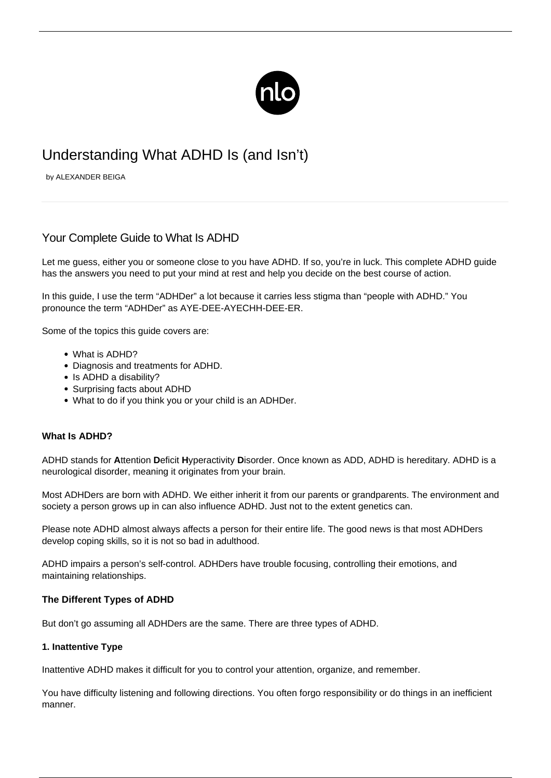

# Understanding What ADHD Is (and Isn't)

by ALEXANDER BEIGA

# Your Complete Guide to What Is ADHD

Let me guess, [either you or someone close to you have ADHD](/do-i-have-adhd/). If so, you're in luck. This complete ADHD guide has the answers you need to put your mind at rest and help you decide on the best course of action.

In this guide, I use the term "ADHDer" a lot because it carries less stigma than "people with ADHD." You pronounce the term "ADHDer" as AYE-DEE-AYECHH-DEE-ER.

Some of the topics this guide covers are:

- What is ADHD?
- Diagnosis and treatments for ADHD.
- Is ADHD a disability?
- Surprising facts about ADHD
- What to do if you think you or your child is an ADHDer.

# **What Is ADHD?**

ADHD stands for **A**ttention **D**eficit **H**yperactivity **D**isorder. Once known as ADD, ADHD is hereditary. ADHD is a neurological disorder, meaning it originates from your brain.

Most ADHDers are born with ADHD. We either inherit it from our parents or grandparents. The environment and society a person grows up in can also influence ADHD. Just not to the extent genetics can.

Please note ADHD almost always affects a person for their entire life. The good news is that most ADHDers develop coping skills, so it is not so bad in adulthood.

ADHD impairs a person's self-control. ADHDers have trouble focusing, controlling their emotions, and maintaining relationships.

# **The Different Types of ADHD**

But don't go assuming all ADHDers are the same. There are three types of ADHD.

#### **1. Inattentive Type**

Inattentive ADHD makes it difficult for you to control your attention, organize, and remember.

You have difficulty listening and following directions. You often forgo responsibility or do things in an inefficient manner.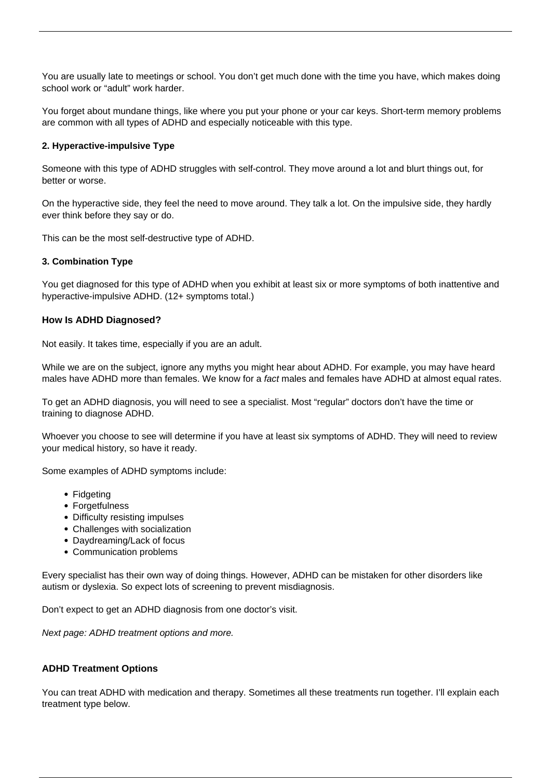You are usually late to meetings or school. You don't get much done with the time you have, which makes doing school work or "adult" work harder.

You forget about mundane things, like where you put your phone or your car keys. Short-term memory problems are common with all types of ADHD and especially noticeable with this type.

# **2. Hyperactive-impulsive Type**

Someone with this type of ADHD struggles with self-control. They move around a lot and blurt things out, for better or worse.

On the hyperactive side, they feel the need to move around. They talk a lot. On the impulsive side, they hardly ever think before they say or do.

This can be the most self-destructive type of ADHD.

# **3. Combination Type**

You get diagnosed for this type of ADHD when you exhibit at least six or more symptoms of both inattentive and hyperactive-impulsive ADHD. (12+ symptoms total.)

#### **How Is ADHD Diagnosed?**

Not easily. It takes time, especially if you are an adult.

While we are on the subject, ignore any myths you might hear about ADHD. For example, you may have heard males have ADHD more than females. We know for a fact males and females have ADHD at almost equal rates.

To get an ADHD diagnosis, you will need to see a specialist. Most "regular" doctors don't have the time or training to diagnose ADHD.

Whoever you choose to see will determine if you have at least six [symptoms of ADHD.](/adhd-symptoms/) They will need to review your medical history, so have it ready.

Some examples of ADHD symptoms include:

- Fidgeting
- Forgetfulness
- Difficulty resisting impulses
- Challenges with socialization
- Daydreaming/Lack of focus
- Communication problems

Every specialist has their own way of doing things. However, ADHD can be mistaken for other disorders like autism or dyslexia. So expect lots of screening to prevent misdiagnosis.

Don't expect to get an ADHD diagnosis from one doctor's visit.

Next page: ADHD treatment options and more.

# **ADHD Treatment Options**

You can treat ADHD with medication and therapy. Sometimes all these treatments run together. I'll explain each treatment type below.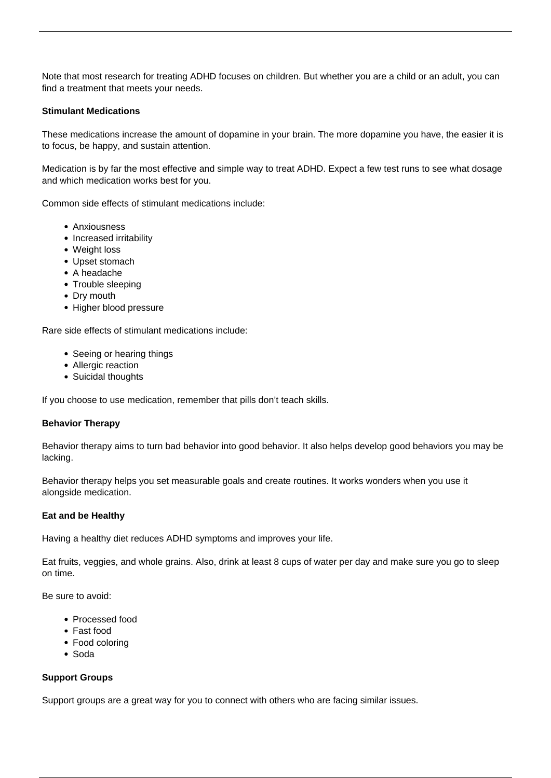Note that most research for treating ADHD focuses on children. But whether you are a child or an adult, you can find a treatment that meets your needs.

# **Stimulant Medications**

These medications increase the amount of dopamine in your brain. The more dopamine you have, the easier it is to focus, be happy, and sustain attention.

Medication is by far the most effective and simple way to treat ADHD. Expect a few test runs to see what dosage and which medication works best for you.

Common side effects of stimulant medications include:

- Anxiousness
- Increased irritability
- Weight loss
- Upset stomach
- A headache
- Trouble sleeping
- Dry mouth
- Higher blood pressure

Rare side effects of stimulant medications include:

- Seeing or hearing things
- Allergic reaction
- Suicidal thoughts

If you choose to use medication, remember that pills don't teach skills.

#### **Behavior Therapy**

Behavior therapy aims to turn bad behavior into good behavior. It also helps develop good behaviors you may be lacking.

Behavior therapy helps you set measurable goals and create routines. It works wonders when you use it alongside medication.

#### **Eat and be Healthy**

Having a [healthy diet reduces ADHD symptoms](/adhd-diet/) and improves your life.

Eat fruits, veggies, and whole grains. Also, drink at least 8 cups of water per day and make sure you go to sleep on time.

Be sure to avoid:

- Processed food
- Fast food
- Food coloring
- Soda

# **Support Groups**

Support groups are a great way for you to connect with others who are facing similar issues.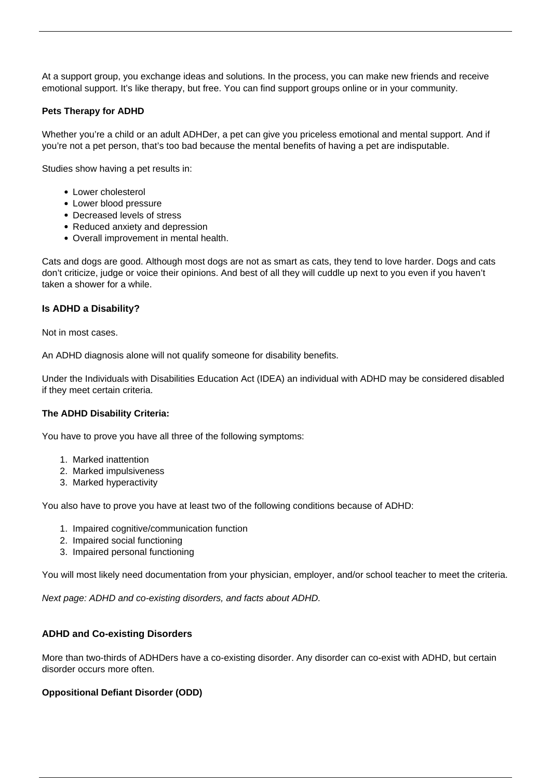At a support group, you exchange ideas and solutions. In the process, you can make new friends and receive emotional support. It's like therapy, but free. You can find support groups online or in your community.

# **Pets Therapy for ADHD**

Whether you're a child or an adult ADHDer, a pet can give you priceless emotional and mental support. And if you're not a pet person, that's too bad because the mental benefits of having a pet are indisputable.

Studies show having a pet results in:

- Lower cholesterol
- Lower blood pressure
- Decreased levels of stress
- Reduced anxiety and depression
- Overall improvement in mental health.

Cats and dogs are good. Although most dogs are not as smart as cats, they tend to love harder. Dogs and cats don't criticize, judge or voice their opinions. And best of all they will cuddle up next to you even if you haven't taken a shower for a while.

# **Is ADHD a Disability?**

Not in most cases.

An ADHD diagnosis alone will not qualify someone for disability benefits.

Under the Individuals with Disabilities Education Act (IDEA) an individual with ADHD may be considered disabled if they meet certain criteria.

#### **The ADHD Disability Criteria:**

You have to prove you have all three of the following symptoms:

- 1. Marked inattention
- 2. Marked impulsiveness
- 3. Marked hyperactivity

You also have to prove you have at least two of the following conditions because of ADHD:

- 1. Impaired cognitive/communication function
- 2. Impaired social functioning
- 3. Impaired personal functioning

You will most likely need documentation from your physician, employer, and/or school teacher to meet the criteria.

Next page: ADHD and co-existing disorders, and facts about ADHD.

# **ADHD and Co-existing Disorders**

More than two-thirds of ADHDers have a co-existing disorder. Any disorder can co-exist with ADHD, but certain disorder occurs more often.

# **Oppositional Defiant Disorder (ODD)**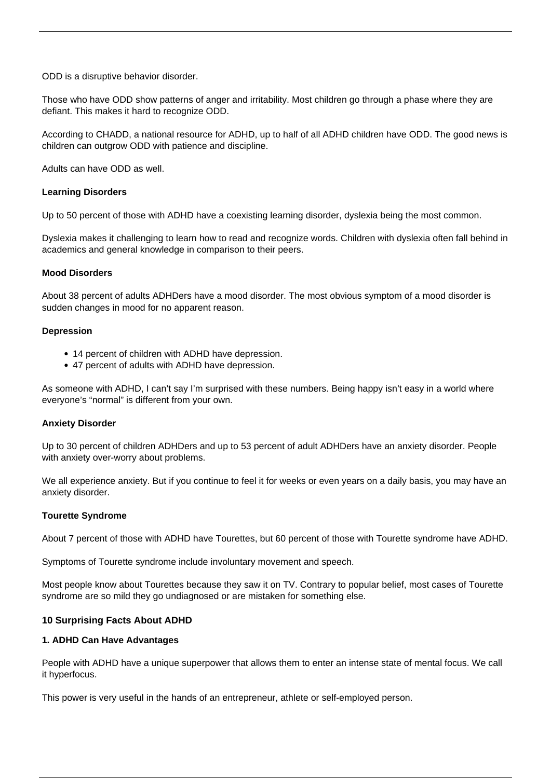ODD is a disruptive behavior disorder.

Those who have ODD show patterns of anger and irritability. Most children go through a phase where they are defiant. This makes it hard to recognize ODD.

According to CHADD, a national resource for ADHD, up to half of all ADHD children have ODD. The good news is children can outgrow ODD with patience and discipline.

Adults can have ODD as well.

### **Learning Disorders**

Up to 50 percent of those with ADHD have a coexisting learning disorder, dyslexia being the most common.

Dyslexia makes it challenging to learn how to read and recognize words. Children with dyslexia often fall behind in academics and general knowledge in comparison to their peers.

#### **Mood Disorders**

About 38 percent of adults ADHDers have a mood disorder. The most obvious symptom of a mood disorder is sudden changes in mood for no apparent reason.

#### **Depression**

- 14 percent of children with ADHD have depression.
- 47 percent of adults with ADHD have depression.

As someone with ADHD, I can't say I'm surprised with these numbers. Being happy isn't easy in a world where everyone's "normal" is different from your own.

# **Anxiety Disorder**

Up to 30 percent of children ADHDers and up to 53 percent of adult ADHDers have an anxiety disorder. People with anxiety over-worry about problems.

We all experience anxiety. But if you continue to feel it for weeks or even years on a daily basis, you may have an anxiety disorder.

#### **Tourette Syndrome**

About 7 percent of those with ADHD have Tourettes, but 60 percent of those with Tourette syndrome have ADHD.

Symptoms of Tourette syndrome include involuntary movement and speech.

Most people know about Tourettes because they saw it on TV. Contrary to popular belief, most cases of Tourette syndrome are so mild they go undiagnosed or are mistaken for something else.

# **10 Surprising Facts About ADHD**

#### **1. ADHD Can Have Advantages**

People with ADHD have a unique superpower that allows them to enter an intense state of mental focus. We call it [hyperfocus](/hyperfocus-adhd/).

This power is very useful in the hands of an entrepreneur, athlete or self-employed person.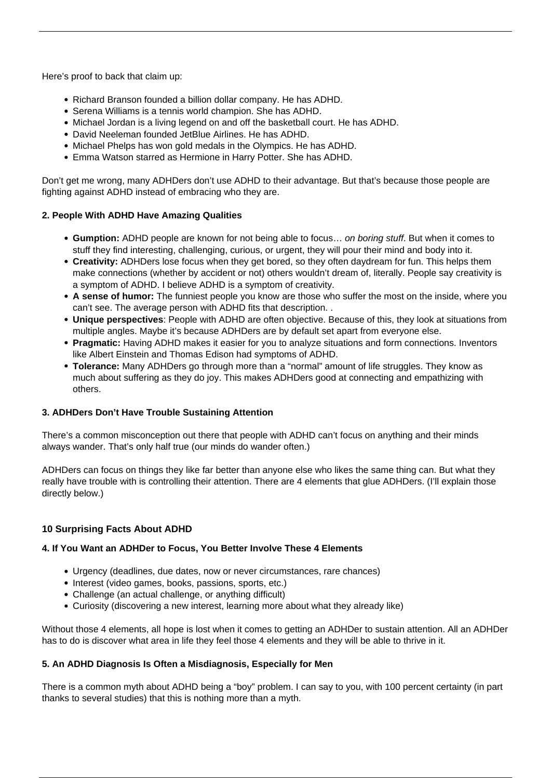Here's proof to back that claim up:

- Richard Branson founded a billion dollar company. He has ADHD.
- Serena Williams is a tennis world champion. She has ADHD.
- Michael Jordan is a living legend on and off the basketball court. He has ADHD.
- David Neeleman founded JetBlue Airlines. He has ADHD.
- Michael Phelps has won gold medals in the Olympics. He has ADHD.
- [Emma Watson](/celebrities-with-adhd/) starred as Hermione in Harry Potter. She has ADHD.

Don't get me wrong, many ADHDers don't use ADHD to their advantage. But that's because those people are fighting against ADHD instead of embracing who they are.

# **2. People With ADHD Have Amazing Qualities**

- **Gumption:** ADHD people are known for not being able to focus… on boring stuff. But when it comes to stuff they find interesting, challenging, curious, or urgent, they will pour their mind and body into it.
- **Creativity:** ADHDers lose focus when they get bored, so they often daydream for fun. This helps them make connections (whether by accident or not) others wouldn't dream of, literally. People say creativity is a symptom of ADHD. I believe ADHD is a symptom of creativity.
- **A sense of humor:** The funniest people you know are those who suffer the most on the inside, where you can't see. The average person with ADHD fits that description. .
- **Unique perspectives**: People with ADHD are often objective. Because of this, they look at situations from multiple angles. Maybe it's because ADHDers are by default set apart from everyone else.
- **Pragmatic:** Having ADHD makes it easier for you to analyze situations and form connections. Inventors like Albert Einstein and Thomas Edison had symptoms of ADHD.
- **Tolerance:** Many ADHDers go through more than a "normal" amount of life struggles. They know as much about suffering as they do joy. This makes ADHDers good at connecting and empathizing with others.

# **3. ADHDers Don't Have Trouble Sustaining Attention**

There's a common misconception out there that people with ADHD can't focus on anything and their minds always wander. That's only half true (our minds do wander often.)

ADHDers can focus on things they like far better than anyone else who likes the same thing can. But what they really have trouble with is controlling their attention. There are 4 elements that glue ADHDers. (I'll explain those directly below.)

# **10 Surprising Facts About ADHD**

# **4. If You Want an ADHDer to Focus, You Better Involve These 4 Elements**

- Urgency (deadlines, due dates, now or never circumstances, rare chances)
- Interest (video games, books, passions, sports, etc.)
- Challenge (an actual challenge, or anything difficult)
- Curiosity (discovering a new interest, learning more about what they already like)

Without those 4 elements, all hope is lost when it comes to getting an ADHDer to sustain attention. All an ADHDer has to do is discover what area in life they feel those 4 elements and they will be able to thrive in it.

# **5. An ADHD Diagnosis Is Often a Misdiagnosis, Especially for Men**

There is a common myth about ADHD being a "boy" problem. I can say to you, with 100 percent certainty (in part thanks to several studies) that this is nothing more than a myth.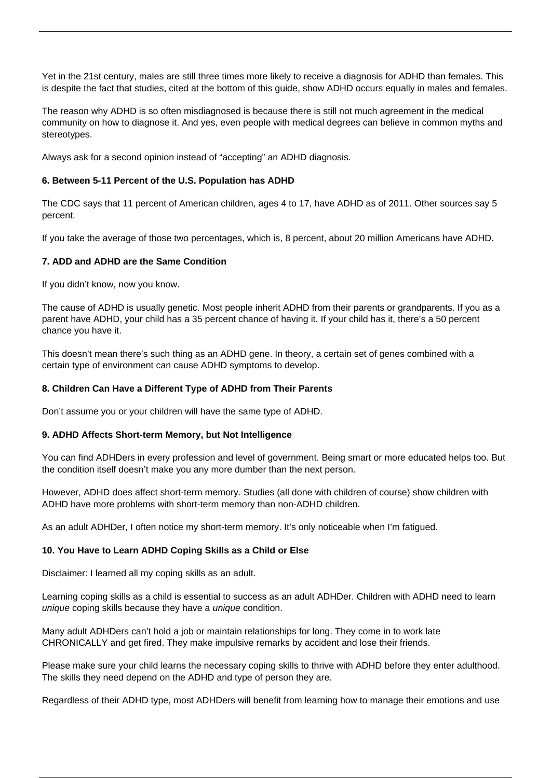Yet in the 21st century, males are still three times more likely to receive a diagnosis for ADHD than females. This is despite the fact that studies, cited at the bottom of this guide, show ADHD occurs equally in males and females.

The reason why ADHD is so often misdiagnosed is because there is still not much agreement in the medical community on how to diagnose it. And yes, even people with medical degrees can believe in common myths and stereotypes.

Always ask for a second opinion instead of "accepting" an ADHD diagnosis.

# **6. Between 5-11 Percent of the U.S. Population has ADHD**

The CDC says that 11 percent of American children, ages 4 to 17, have ADHD as of 2011. Other sources say 5 percent.

If you take the average of those two percentages, which is, 8 percent, about 20 million Americans have ADHD.

# **7. ADD and ADHD are the Same Condition**

If you didn't know, now you know.

The cause of ADHD is usually genetic. Most people inherit ADHD from their parents or grandparents. If you as a parent have ADHD, your child has a 35 percent chance of having it. If your child has it, there's a 50 percent chance you have it.

This doesn't mean there's such thing as an ADHD gene. In theory, a certain set of genes combined with a certain type of environment can cause ADHD symptoms to develop.

#### **8. Children Can Have a Different Type of ADHD from Their Parents**

Don't assume you or your children will have the same type of ADHD.

#### **9. ADHD Affects Short-term Memory, but Not Intelligence**

You can find ADHDers in every profession and level of government. Being smart or more educated helps too. But the condition itself doesn't make you any more dumber than the next person.

However, ADHD does affect short-term memory. Studies (all done with children of course) show children with ADHD have more problems with short-term memory than non-ADHD children.

As an adult ADHDer, I often notice my short-term memory. It's only noticeable when I'm fatigued.

#### **10. You Have to Learn ADHD Coping Skills as a Child or Else**

Disclaimer: I learned all my coping skills as an adult.

Learning coping skills as a child is essential to success as an adult ADHDer. Children with ADHD need to learn unique coping skills because they have a unique condition.

Many adult ADHDers can't hold a job or maintain relationships for long. They come in to work late CHRONICALLY and get fired. They make impulsive remarks by accident and lose their friends.

Please make sure your child learns the necessary coping skills to thrive with ADHD before they enter adulthood. The skills they need depend on the ADHD and type of person they are.

Regardless of their ADHD type, most ADHDers will benefit from learning how to manage their emotions and use